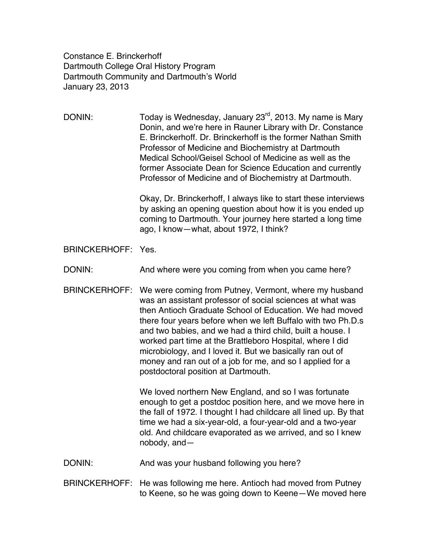Constance E. Brinckerhoff Dartmouth College Oral History Program Dartmouth Community and Dartmouth's World January 23, 2013

DONIN: Today is Wednesday, January  $23^{rd}$ , 2013. My name is Mary Donin, and we're here in Rauner Library with Dr. Constance E. Brinckerhoff. Dr. Brinckerhoff is the former Nathan Smith Professor of Medicine and Biochemistry at Dartmouth Medical School/Geisel School of Medicine as well as the former Associate Dean for Science Education and currently Professor of Medicine and of Biochemistry at Dartmouth.

> Okay, Dr. Brinckerhoff, I always like to start these interviews by asking an opening question about how it is you ended up coming to Dartmouth. Your journey here started a long time ago, I know—what, about 1972, I think?

BRINCKERHOFF: Yes.

DONIN: And where were you coming from when you came here?

BRINCKERHOFF: We were coming from Putney, Vermont, where my husband was an assistant professor of social sciences at what was then Antioch Graduate School of Education. We had moved there four years before when we left Buffalo with two Ph.D.s and two babies, and we had a third child, built a house. I worked part time at the Brattleboro Hospital, where I did microbiology, and I loved it. But we basically ran out of money and ran out of a job for me, and so I applied for a postdoctoral position at Dartmouth.

> We loved northern New England, and so I was fortunate enough to get a postdoc position here, and we move here in the fall of 1972. I thought I had childcare all lined up. By that time we had a six-year-old, a four-year-old and a two-year old. And childcare evaporated as we arrived, and so I knew nobody, and—

DONIN: And was your husband following you here?

BRINCKERHOFF: He was following me here. Antioch had moved from Putney to Keene, so he was going down to Keene—We moved here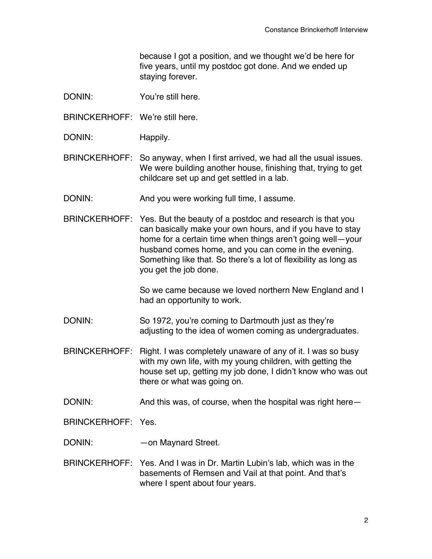because I got a position, and we thought we'd be here for five years, until my postdoc got done. And we ended up staying forever.

- DONIN: You're still here.
- BRINCKERHOFF: We're still here.
- DONIN: Happily.

BRINCKERHOFF: So anyway, when I first arrived, we had all the usual issues. We were building another house, finishing that, trying to get childcare set up and get settled in a lab.

- DONIN: And you were working full time, I assume.
- BRINCKERHOFF: Yes. But the beauty of a postdoc and research is that you can basically make your own hours, and if you have to stay home for a certain time when things aren't going well—your husband comes home, and you can come in the evening. Something like that. So there's a lot of flexibility as long as you get the job done.

So we came because we loved northern New England and I had an opportunity to work.

- DONIN: So 1972, you're coming to Dartmouth just as they're adjusting to the idea of women coming as undergraduates.
- BRINCKERHOFF: Right. I was completely unaware of any of it. I was so busy with my own life, with my young children, with getting the house set up, getting my job done, I didn't know who was out there or what was going on.
- DONIN: And this was, of course, when the hospital was right here–

BRINCKERHOFF: Yes.

- DONIN: — on Maynard Street.
- BRINCKERHOFF: Yes. And I was in Dr. Martin Lubin's lab, which was in the basements of Remsen and Vail at that point. And that's where I spent about four years.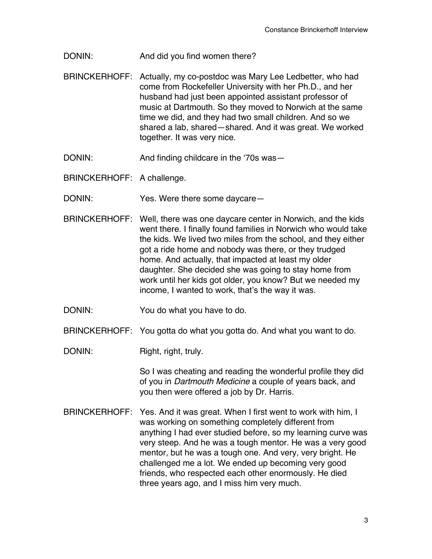DONIN: And did you find women there?

- BRINCKERHOFF: Actually, my co-postdoc was Mary Lee Ledbetter, who had come from Rockefeller University with her Ph.D., and her husband had just been appointed assistant professor of music at Dartmouth. So they moved to Norwich at the same time we did, and they had two small children. And so we shared a lab, shared—shared. And it was great. We worked together. It was very nice.
- DONIN: And finding childcare in the ʻ70s was—

BRINCKERHOFF: A challenge.

DONIN: Yes. Were there some daycare—

- BRINCKERHOFF: Well, there was one daycare center in Norwich, and the kids went there. I finally found families in Norwich who would take the kids. We lived two miles from the school, and they either got a ride home and nobody was there, or they trudged home. And actually, that impacted at least my older daughter. She decided she was going to stay home from work until her kids got older, you know? But we needed my income, I wanted to work, that's the way it was.
- DONIN: You do what you have to do.
- BRINCKERHOFF: You gotta do what you gotta do. And what you want to do.
- DONIN: Right, right, truly.

So I was cheating and reading the wonderful profile they did of you in *Dartmouth Medicine* a couple of years back, and you then were offered a job by Dr. Harris.

BRINCKERHOFF: Yes. And it was great. When I first went to work with him, I was working on something completely different from anything I had ever studied before, so my learning curve was very steep. And he was a tough mentor. He was a very good mentor, but he was a tough one. And very, very bright. He challenged me a lot. We ended up becoming very good friends, who respected each other enormously. He died three years ago, and I miss him very much.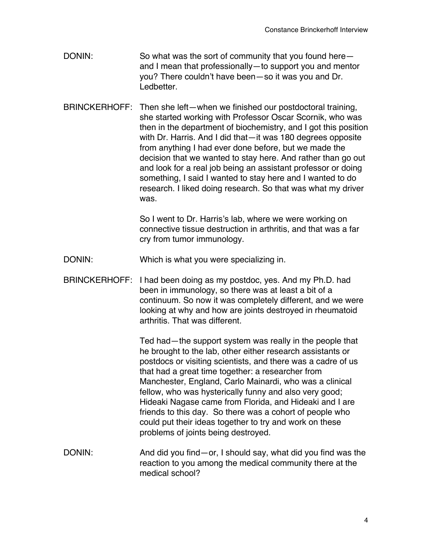- DONIN: So what was the sort of community that you found here– and I mean that professionally—to support you and mentor you? There couldn't have been—so it was you and Dr. Ledbetter.
- BRINCKERHOFF: Then she left—when we finished our postdoctoral training, she started working with Professor Oscar Scornik, who was then in the department of biochemistry, and I got this position with Dr. Harris. And I did that—it was 180 degrees opposite from anything I had ever done before, but we made the decision that we wanted to stay here. And rather than go out and look for a real job being an assistant professor or doing something, I said I wanted to stay here and I wanted to do research. I liked doing research. So that was what my driver was.

So I went to Dr. Harris's lab, where we were working on connective tissue destruction in arthritis, and that was a far cry from tumor immunology.

- DONIN: Which is what you were specializing in.
- BRINCKERHOFF: I had been doing as my postdoc, yes. And my Ph.D. had been in immunology, so there was at least a bit of a continuum. So now it was completely different, and we were looking at why and how are joints destroyed in rheumatoid arthritis. That was different.

Ted had—the support system was really in the people that he brought to the lab, other either research assistants or postdocs or visiting scientists, and there was a cadre of us that had a great time together: a researcher from Manchester, England, Carlo Mainardi, who was a clinical fellow, who was hysterically funny and also very good; Hideaki Nagase came from Florida, and Hideaki and I are friends to this day. So there was a cohort of people who could put their ideas together to try and work on these problems of joints being destroyed.

DONIN: And did you find—or, I should say, what did you find was the reaction to you among the medical community there at the medical school?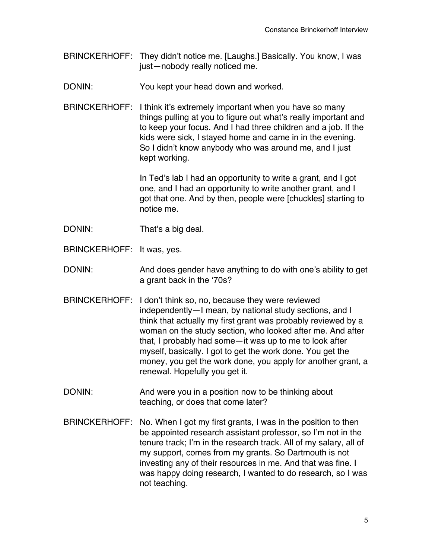- BRINCKERHOFF: They didn't notice me. [Laughs.] Basically. You know, I was just—nobody really noticed me.
- DONIN: You kept your head down and worked.
- BRINCKERHOFF: I think it's extremely important when you have so many things pulling at you to figure out what's really important and to keep your focus. And I had three children and a job. If the kids were sick, I stayed home and came in in the evening. So I didn't know anybody who was around me, and I just kept working.

In Ted's lab I had an opportunity to write a grant, and I got one, and I had an opportunity to write another grant, and I got that one. And by then, people were [chuckles] starting to notice me.

- DONIN: That's a big deal.
- BRINCKERHOFF: It was, yes.
- DONIN: And does gender have anything to do with one's ability to get a grant back in the ʻ70s?
- BRINCKERHOFF: I don't think so, no, because they were reviewed independently—I mean, by national study sections, and I think that actually my first grant was probably reviewed by a woman on the study section, who looked after me. And after that, I probably had some—it was up to me to look after myself, basically. I got to get the work done. You get the money, you get the work done, you apply for another grant, a renewal. Hopefully you get it.
- DONIN: And were you in a position now to be thinking about teaching, or does that come later?
- BRINCKERHOFF: No. When I got my first grants, I was in the position to then be appointed research assistant professor, so I'm not in the tenure track; I'm in the research track. All of my salary, all of my support, comes from my grants. So Dartmouth is not investing any of their resources in me. And that was fine. I was happy doing research, I wanted to do research, so I was not teaching.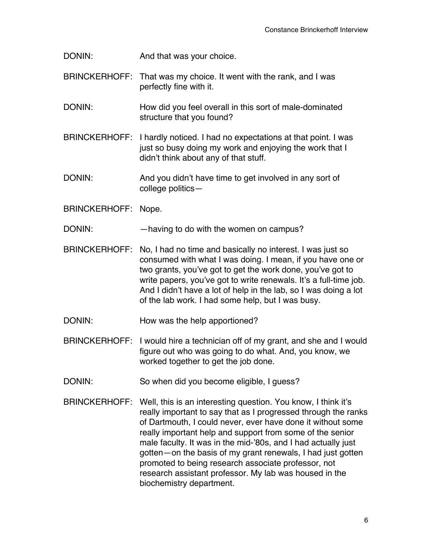DONIN: And that was your choice.

- BRINCKERHOFF: That was my choice. It went with the rank, and I was perfectly fine with it.
- DONIN: How did you feel overall in this sort of male-dominated structure that you found?
- BRINCKERHOFF: I hardly noticed. I had no expectations at that point. I was just so busy doing my work and enjoying the work that I didn't think about any of that stuff.
- DONIN: And you didn't have time to get involved in any sort of college politics—

BRINCKERHOFF: Nope.

DONIN: —having to do with the women on campus?

- BRINCKERHOFF: No, I had no time and basically no interest. I was just so consumed with what I was doing. I mean, if you have one or two grants, you've got to get the work done, you've got to write papers, you've got to write renewals. It's a full-time job. And I didn't have a lot of help in the lab, so I was doing a lot of the lab work. I had some help, but I was busy.
- DONIN: How was the help apportioned?
- BRINCKERHOFF: I would hire a technician off of my grant, and she and I would figure out who was going to do what. And, you know, we worked together to get the job done.
- DONIN: So when did you become eligible, I guess?
- BRINCKERHOFF: Well, this is an interesting question. You know, I think it's really important to say that as I progressed through the ranks of Dartmouth, I could never, ever have done it without some really important help and support from some of the senior male faculty. It was in the mid-'80s, and I had actually just gotten—on the basis of my grant renewals, I had just gotten promoted to being research associate professor, not research assistant professor. My lab was housed in the biochemistry department.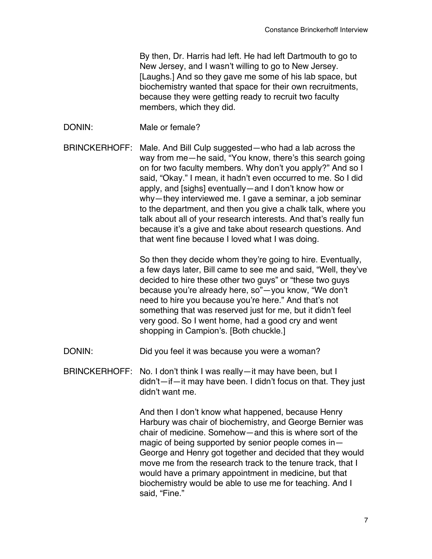By then, Dr. Harris had left. He had left Dartmouth to go to New Jersey, and I wasn't willing to go to New Jersey. [Laughs.] And so they gave me some of his lab space, but biochemistry wanted that space for their own recruitments, because they were getting ready to recruit two faculty members, which they did.

DONIN: Male or female?

BRINCKERHOFF: Male. And Bill Culp suggested—who had a lab across the way from me—he said, "You know, there's this search going on for two faculty members. Why don't you apply?" And so I said, "Okay." I mean, it hadn't even occurred to me. So I did apply, and [sighs] eventually—and I don't know how or why—they interviewed me. I gave a seminar, a job seminar to the department, and then you give a chalk talk, where you talk about all of your research interests. And that's really fun because it's a give and take about research questions. And that went fine because I loved what I was doing.

> So then they decide whom they're going to hire. Eventually, a few days later, Bill came to see me and said, "Well, they've decided to hire these other two guys" or "these two guys because you're already here, so"—you know, "We don't need to hire you because you're here." And that's not something that was reserved just for me, but it didn't feel very good. So I went home, had a good cry and went shopping in Campion's. [Both chuckle.]

DONIN: Did you feel it was because you were a woman?

BRINCKERHOFF: No. I don't think I was really—it may have been, but I didn't—if—it may have been. I didn't focus on that. They just didn't want me.

> And then I don't know what happened, because Henry Harbury was chair of biochemistry, and George Bernier was chair of medicine. Somehow—and this is where sort of the magic of being supported by senior people comes in— George and Henry got together and decided that they would move me from the research track to the tenure track, that I would have a primary appointment in medicine, but that biochemistry would be able to use me for teaching. And I said, "Fine."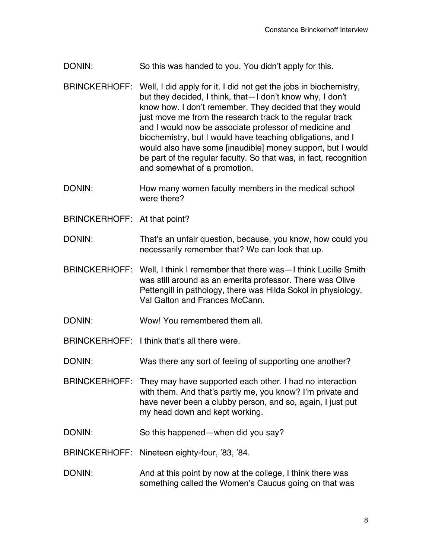- DONIN: So this was handed to you. You didn't apply for this.
- BRINCKERHOFF: Well, I did apply for it. I did not get the jobs in biochemistry, but they decided, I think, that—I don't know why, I don't know how. I don't remember. They decided that they would just move me from the research track to the regular track and I would now be associate professor of medicine and biochemistry, but I would have teaching obligations, and I would also have some [inaudible] money support, but I would be part of the regular faculty. So that was, in fact, recognition and somewhat of a promotion.
- DONIN: How many women faculty members in the medical school were there?
- BRINCKERHOFF: At that point?
- DONIN: That's an unfair question, because, you know, how could you necessarily remember that? We can look that up.
- BRINCKERHOFF: Well, I think I remember that there was—I think Lucille Smith was still around as an emerita professor. There was Olive Pettengill in pathology, there was Hilda Sokol in physiology, Val Galton and Frances McCann.
- DONIN: Wow! You remembered them all.
- BRINCKERHOFF: I think that's all there were.
- DONIN: Was there any sort of feeling of supporting one another?
- BRINCKERHOFF: They may have supported each other. I had no interaction with them. And that's partly me, you know? I'm private and have never been a clubby person, and so, again, I just put my head down and kept working.
- DONIN: So this happened—when did you say?
- BRINCKERHOFF: Nineteen eighty-four, '83, '84.
- DONIN: And at this point by now at the college, I think there was something called the Women's Caucus going on that was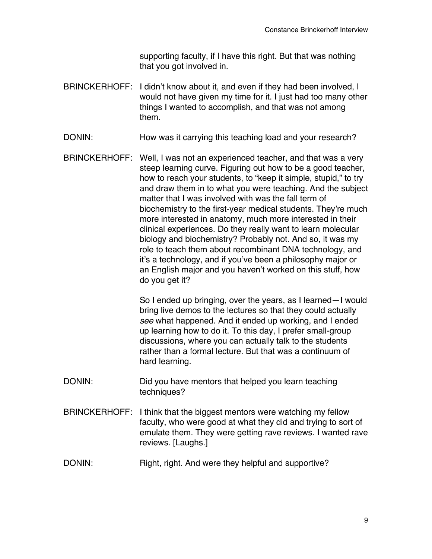supporting faculty, if I have this right. But that was nothing that you got involved in.

- BRINCKERHOFF: I didn't know about it, and even if they had been involved, I would not have given my time for it. I just had too many other things I wanted to accomplish, and that was not among them.
- DONIN: How was it carrying this teaching load and your research?
- BRINCKERHOFF: Well, I was not an experienced teacher, and that was a very steep learning curve. Figuring out how to be a good teacher, how to reach your students, to "keep it simple, stupid," to try and draw them in to what you were teaching. And the subject matter that I was involved with was the fall term of biochemistry to the first-year medical students. They're much more interested in anatomy, much more interested in their clinical experiences. Do they really want to learn molecular biology and biochemistry? Probably not. And so, it was my role to teach them about recombinant DNA technology, and it's a technology, and if you've been a philosophy major or an English major and you haven't worked on this stuff, how do you get it?

So I ended up bringing, over the years, as I learned—I would bring live demos to the lectures so that they could actually *see* what happened. And it ended up working, and I ended up learning how to do it. To this day, I prefer small-group discussions, where you can actually talk to the students rather than a formal lecture. But that was a continuum of hard learning.

- DONIN: Did you have mentors that helped you learn teaching techniques?
- BRINCKERHOFF: I think that the biggest mentors were watching my fellow faculty, who were good at what they did and trying to sort of emulate them. They were getting rave reviews. I wanted rave reviews. [Laughs.]
- DONIN: Right, right. And were they helpful and supportive?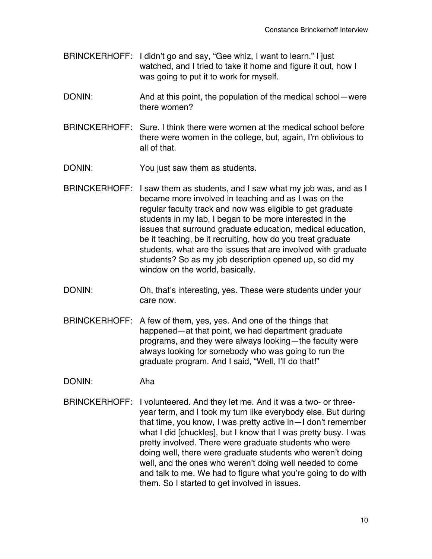- BRINCKERHOFF: I didn't go and say, "Gee whiz, I want to learn." I just watched, and I tried to take it home and figure it out, how I was going to put it to work for myself.
- DONIN: And at this point, the population of the medical school—were there women?
- BRINCKERHOFF: Sure. I think there were women at the medical school before there were women in the college, but, again, I'm oblivious to all of that.
- DONIN: You just saw them as students.
- BRINCKERHOFF: I saw them as students, and I saw what my job was, and as I became more involved in teaching and as I was on the regular faculty track and now was eligible to get graduate students in my lab, I began to be more interested in the issues that surround graduate education, medical education, be it teaching, be it recruiting, how do you treat graduate students, what are the issues that are involved with graduate students? So as my job description opened up, so did my window on the world, basically.
- DONIN: Oh, that's interesting, yes. These were students under your care now.
- BRINCKERHOFF: A few of them, yes, yes. And one of the things that happened—at that point, we had department graduate programs, and they were always looking—the faculty were always looking for somebody who was going to run the graduate program. And I said, "Well, I'll do that!"
- DONIN: Aha
- BRINCKERHOFF: I volunteered. And they let me. And it was a two- or threeyear term, and I took my turn like everybody else. But during that time, you know, I was pretty active in—I don't remember what I did [chuckles], but I know that I was pretty busy. I was pretty involved. There were graduate students who were doing well, there were graduate students who weren't doing well, and the ones who weren't doing well needed to come and talk to me. We had to figure what you're going to do with them. So I started to get involved in issues.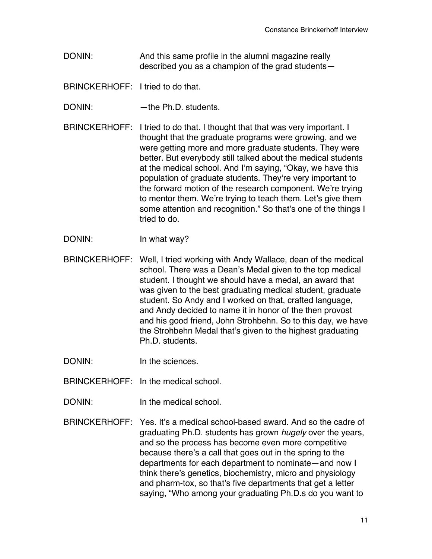DONIN: And this same profile in the alumni magazine really described you as a champion of the grad students—

BRINCKERHOFF: I tried to do that.

DONIN: — —the Ph.D. students.

BRINCKERHOFF: I tried to do that. I thought that that was very important. I thought that the graduate programs were growing, and we were getting more and more graduate students. They were better. But everybody still talked about the medical students at the medical school. And I'm saying, "Okay, we have this population of graduate students. They're very important to the forward motion of the research component. We're trying to mentor them. We're trying to teach them. Let's give them some attention and recognition." So that's one of the things I tried to do.

DONIN: In what way?

BRINCKERHOFF: Well, I tried working with Andy Wallace, dean of the medical school. There was a Dean's Medal given to the top medical student. I thought we should have a medal, an award that was given to the best graduating medical student, graduate student. So Andy and I worked on that, crafted language, and Andy decided to name it in honor of the then provost and his good friend, John Strohbehn. So to this day, we have the Strohbehn Medal that's given to the highest graduating Ph.D. students.

DONIN: In the sciences.

BRINCKERHOFF: In the medical school.

- DONIN: In the medical school.
- BRINCKERHOFF: Yes. It's a medical school-based award. And so the cadre of graduating Ph.D. students has grown *hugely* over the years, and so the process has become even more competitive because there's a call that goes out in the spring to the departments for each department to nominate—and now I think there's genetics, biochemistry, micro and physiology and pharm-tox, so that's five departments that get a letter saying, "Who among your graduating Ph.D.s do you want to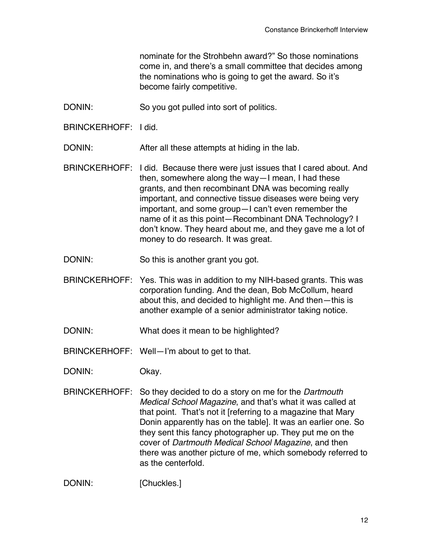nominate for the Strohbehn award?" So those nominations come in, and there's a small committee that decides among the nominations who is going to get the award. So it's become fairly competitive.

- DONIN: So you got pulled into sort of politics.
- BRINCKERHOFF: I did.

DONIN: After all these attempts at hiding in the lab.

- BRINCKERHOFF: I did. Because there were just issues that I cared about. And then, somewhere along the way—I mean, I had these grants, and then recombinant DNA was becoming really important, and connective tissue diseases were being very important, and some group—I can't even remember the name of it as this point—Recombinant DNA Technology? I don't know. They heard about me, and they gave me a lot of money to do research. It was great.
- DONIN: So this is another grant you got.
- BRINCKERHOFF: Yes. This was in addition to my NIH-based grants. This was corporation funding. And the dean, Bob McCollum, heard about this, and decided to highlight me. And then—this is another example of a senior administrator taking notice.
- DONIN: What does it mean to be highlighted?
- BRINCKERHOFF: Well—I'm about to get to that.
- DONIN: Okay.
- BRINCKERHOFF: So they decided to do a story on me for the *Dartmouth Medical School Magazine*, and that's what it was called at that point. That's not it [referring to a magazine that Mary Donin apparently has on the table]. It was an earlier one. So they sent this fancy photographer up. They put me on the cover of *Dartmouth Medical School Magazine*, and then there was another picture of me, which somebody referred to as the centerfold.

DONIN: [Chuckles.]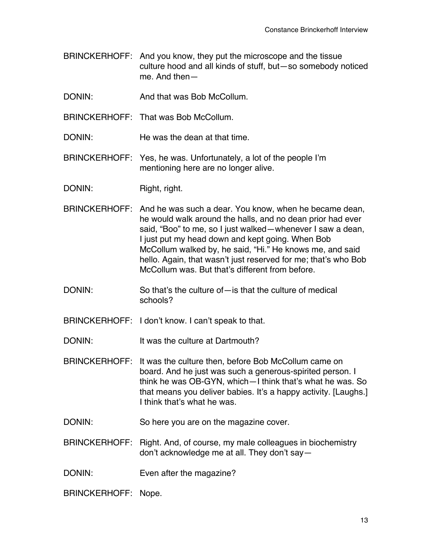- BRINCKERHOFF: And you know, they put the microscope and the tissue culture hood and all kinds of stuff, but—so somebody noticed me. And then—
- DONIN: And that was Bob McCollum
- BRINCKERHOFF: That was Bob McCollum.
- DONIN: He was the dean at that time
- BRINCKERHOFF: Yes, he was. Unfortunately, a lot of the people I'm mentioning here are no longer alive.
- DONIN: Right, right.
- BRINCKERHOFF: And he was such a dear. You know, when he became dean, he would walk around the halls, and no dean prior had ever said, "Boo" to me, so I just walked—whenever I saw a dean, I just put my head down and kept going. When Bob McCollum walked by, he said, "Hi." He knows me, and said hello. Again, that wasn't just reserved for me; that's who Bob McCollum was. But that's different from before.
- DONIN: So that's the culture of—is that the culture of medical schools?
- BRINCKERHOFF: I don't know. I can't speak to that.

DONIN: It was the culture at Dartmouth?

- BRINCKERHOFF: It was the culture then, before Bob McCollum came on board. And he just was such a generous-spirited person. I think he was OB-GYN, which—I think that's what he was. So that means you deliver babies. It's a happy activity. [Laughs.] I think that's what he was.
- DONIN: So here you are on the magazine cover.
- BRINCKERHOFF: Right. And, of course, my male colleagues in biochemistry don't acknowledge me at all. They don't say—
- DONIN: Even after the magazine?

BRINCKERHOFF: Nope.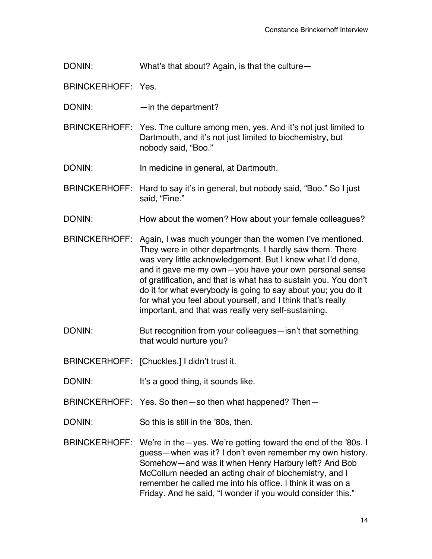DONIN: What's that about? Again, is that the culture-

BRINCKERHOFF: Yes.

DONIN: — —in the department?

BRINCKERHOFF: Yes. The culture among men, yes. And it's not just limited to Dartmouth, and it's not just limited to biochemistry, but nobody said, "Boo."

DONIN: In medicine in general, at Dartmouth.

BRINCKERHOFF: Hard to say it's in general, but nobody said, "Boo." So I just said, "Fine."

DONIN: How about the women? How about your female colleagues?

- BRINCKERHOFF: Again, I was much younger than the women I've mentioned. They were in other departments. I hardly saw them. There was very little acknowledgement. But I knew what I'd done, and it gave me my own—you have your own personal sense of gratification, and that is what has to sustain you. You don't do it for what everybody is going to say about you; you do it for what you feel about yourself, and I think that's really important, and that was really very self-sustaining.
- DONIN: But recognition from your colleagues—isn't that something that would nurture you?

BRINCKERHOFF: [Chuckles.] I didn't trust it.

DONIN: It's a good thing, it sounds like.

BRINCKERHOFF: Yes. So then—so then what happened? Then—

DONIN: So this is still in the '80s, then.

BRINCKERHOFF: We're in the—yes. We're getting toward the end of the '80s. I guess—when was it? I don't even remember my own history. Somehow—and was it when Henry Harbury left? And Bob McCollum needed an acting chair of biochemistry, and I remember he called me into his office. I think it was on a Friday. And he said, "I wonder if you would consider this."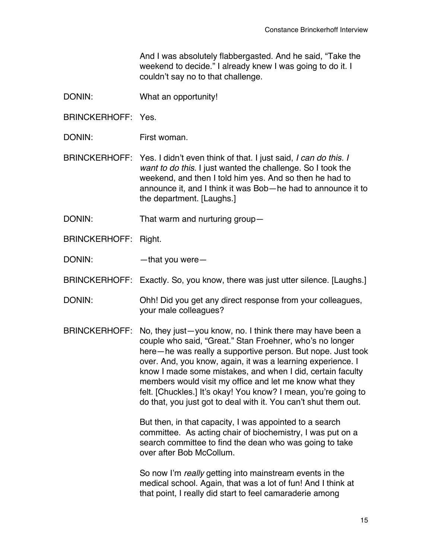And I was absolutely flabbergasted. And he said, "Take the weekend to decide." I already knew I was going to do it. I couldn't say no to that challenge.

- DONIN: What an opportunity!
- BRINCKERHOFF: Yes.
- DONIN: First woman.
- BRINCKERHOFF: Yes. I didn't even think of that. I just said, *I can do this. I want to do this*. I just wanted the challenge. So I took the weekend, and then I told him yes. And so then he had to announce it, and I think it was Bob—he had to announce it to the department. [Laughs.]
- DONIN: That warm and nurturing group—
- BRINCKERHOFF: Right.
- DONIN: — that you were
- BRINCKERHOFF: Exactly. So, you know, there was just utter silence. [Laughs.]
- DONIN: Ohh! Did you get any direct response from your colleagues, your male colleagues?
- BRINCKERHOFF: No, they just—you know, no. I think there may have been a couple who said, "Great." Stan Froehner, who's no longer here—he was really a supportive person. But nope. Just took over. And, you know, again, it was a learning experience. I know I made some mistakes, and when I did, certain faculty members would visit my office and let me know what they felt. [Chuckles.] It's okay! You know? I mean, you're going to do that, you just got to deal with it. You can't shut them out.

But then, in that capacity, I was appointed to a search committee. As acting chair of biochemistry, I was put on a search committee to find the dean who was going to take over after Bob McCollum.

So now I'm *really* getting into mainstream events in the medical school. Again, that was a lot of fun! And I think at that point, I really did start to feel camaraderie among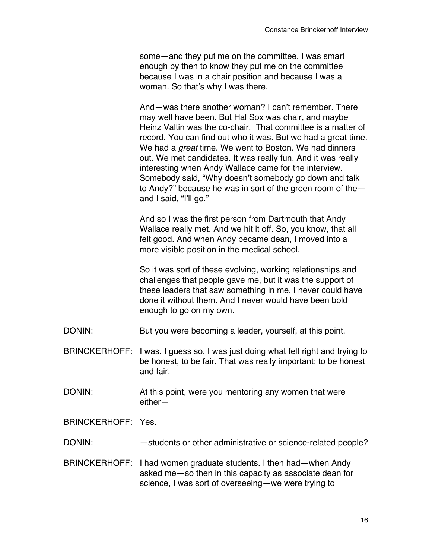some—and they put me on the committee. I was smart enough by then to know they put me on the committee because I was in a chair position and because I was a woman. So that's why I was there.

And—was there another woman? I can't remember. There may well have been. But Hal Sox was chair, and maybe Heinz Valtin was the co-chair. That committee is a matter of record. You can find out who it was. But we had a great time. We had a *great* time. We went to Boston. We had dinners out. We met candidates. It was really fun. And it was really interesting when Andy Wallace came for the interview. Somebody said, "Why doesn't somebody go down and talk to Andy?" because he was in sort of the green room of the and I said, "I'll go."

And so I was the first person from Dartmouth that Andy Wallace really met. And we hit it off. So, you know, that all felt good. And when Andy became dean, I moved into a more visible position in the medical school.

So it was sort of these evolving, working relationships and challenges that people gave me, but it was the support of these leaders that saw something in me. I never could have done it without them. And I never would have been bold enough to go on my own.

- DONIN: But you were becoming a leader, yourself, at this point.
- BRINCKERHOFF: I was. I guess so. I was just doing what felt right and trying to be honest, to be fair. That was really important: to be honest and fair.
- DONIN: At this point, were you mentoring any women that were either—

BRINCKERHOFF: Yes.

- DONIN: students or other administrative or science-related people?
- BRINCKERHOFF: I had women graduate students. I then had—when Andy asked me—so then in this capacity as associate dean for science, I was sort of overseeing—we were trying to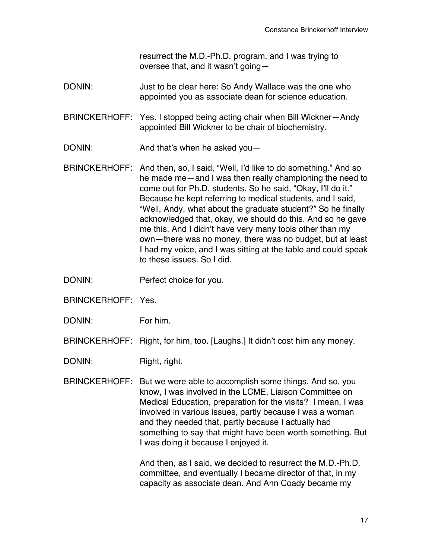resurrect the M.D.-Ph.D. program, and I was trying to oversee that, and it wasn't going—

DONIN: Just to be clear here: So Andy Wallace was the one who appointed you as associate dean for science education.

BRINCKERHOFF: Yes. I stopped being acting chair when Bill Wickner—Andy appointed Bill Wickner to be chair of biochemistry.

DONIN: And that's when he asked you-

BRINCKERHOFF: And then, so, I said, "Well, I'd like to do something." And so he made me—and I was then really championing the need to come out for Ph.D. students. So he said, "Okay, I'll do it." Because he kept referring to medical students, and I said, "Well, Andy, what about the graduate student?" So he finally acknowledged that, okay, we should do this. And so he gave me this. And I didn't have very many tools other than my own—there was no money, there was no budget, but at least I had my voice, and I was sitting at the table and could speak to these issues. So I did.

DONIN: Perfect choice for you.

BRINCKERHOFF: Yes.

DONIN: For him.

BRINCKERHOFF: Right, for him, too. [Laughs.] It didn't cost him any money.

DONIN: Right, right.

BRINCKERHOFF: But we were able to accomplish some things. And so, you know, I was involved in the LCME, Liaison Committee on Medical Education, preparation for the visits? I mean, I was involved in various issues, partly because I was a woman and they needed that, partly because I actually had something to say that might have been worth something. But I was doing it because I enjoyed it.

> And then, as I said, we decided to resurrect the M.D.-Ph.D. committee, and eventually I became director of that, in my capacity as associate dean. And Ann Coady became my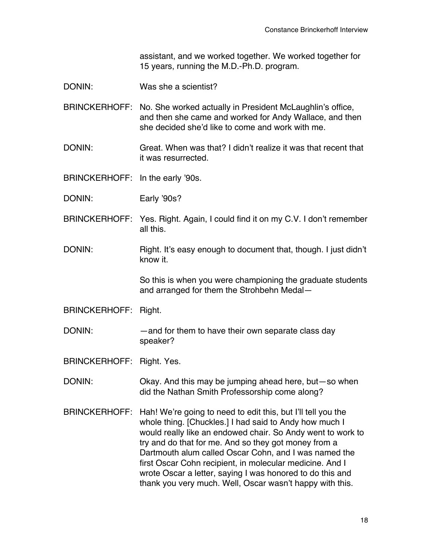assistant, and we worked together. We worked together for 15 years, running the M.D.-Ph.D. program.

- DONIN: Was she a scientist?
- BRINCKERHOFF: No. She worked actually in President McLaughlin's office, and then she came and worked for Andy Wallace, and then she decided she'd like to come and work with me.
- DONIN: Great. When was that? I didn't realize it was that recent that it was resurrected.

BRINCKERHOFF: In the early '90s.

- DONIN: Early '90s?
- BRINCKERHOFF: Yes. Right. Again, I could find it on my C.V. I don't remember all this.
- DONIN: Right. It's easy enough to document that, though. I just didn't know it.

So this is when you were championing the graduate students and arranged for them the Strohbehn Medal—

BRINCKERHOFF: Right.

DONIN: — — and for them to have their own separate class day speaker?

BRINCKERHOFF: Right. Yes.

DONIN: Okay. And this may be jumping ahead here, but—so when did the Nathan Smith Professorship come along?

BRINCKERHOFF: Hah! We're going to need to edit this, but I'll tell you the whole thing. [Chuckles.] I had said to Andy how much I would really like an endowed chair. So Andy went to work to try and do that for me. And so they got money from a Dartmouth alum called Oscar Cohn, and I was named the first Oscar Cohn recipient, in molecular medicine. And I wrote Oscar a letter, saying I was honored to do this and thank you very much. Well, Oscar wasn't happy with this.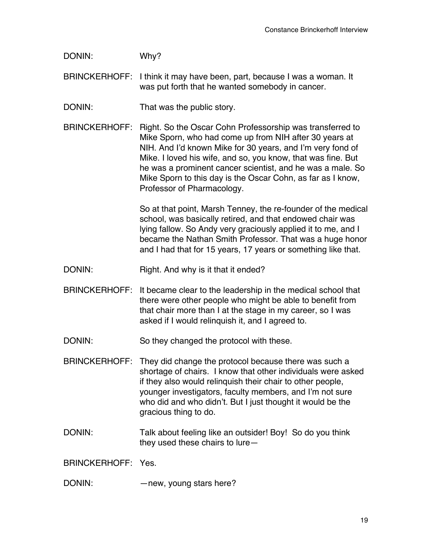DONIN: Why?

BRINCKERHOFF: I think it may have been, part, because I was a woman. It was put forth that he wanted somebody in cancer.

DONIN: That was the public story.

BRINCKERHOFF: Right. So the Oscar Cohn Professorship was transferred to Mike Sporn, who had come up from NIH after 30 years at NIH. And I'd known Mike for 30 years, and I'm very fond of Mike. I loved his wife, and so, you know, that was fine. But he was a prominent cancer scientist, and he was a male. So Mike Sporn to this day is the Oscar Cohn, as far as I know, Professor of Pharmacology.

> So at that point, Marsh Tenney, the re-founder of the medical school, was basically retired, and that endowed chair was lying fallow. So Andy very graciously applied it to me, and I became the Nathan Smith Professor. That was a huge honor and I had that for 15 years, 17 years or something like that.

- DONIN: Right. And why is it that it ended?
- BRINCKERHOFF: It became clear to the leadership in the medical school that there were other people who might be able to benefit from that chair more than I at the stage in my career, so I was asked if I would relinquish it, and I agreed to.

DONIN: So they changed the protocol with these.

- BRINCKERHOFF: They did change the protocol because there was such a shortage of chairs. I know that other individuals were asked if they also would relinquish their chair to other people, younger investigators, faculty members, and I'm not sure who did and who didn't. But I just thought it would be the gracious thing to do.
- DONIN: Talk about feeling like an outsider! Boy! So do you think they used these chairs to lure—

BRINCKERHOFF: Yes.

DONIN: — — — new, young stars here?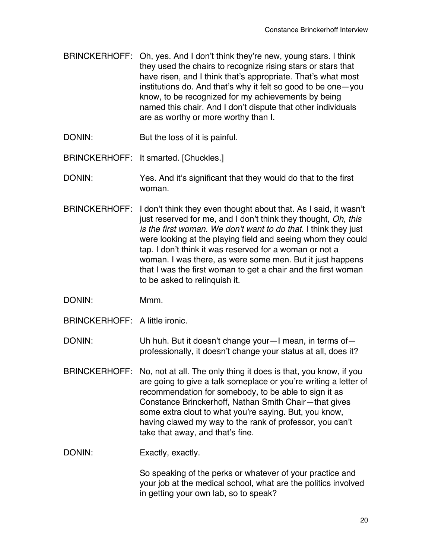- BRINCKERHOFF: Oh, yes. And I don't think they're new, young stars. I think they used the chairs to recognize rising stars or stars that have risen, and I think that's appropriate. That's what most institutions do. And that's why it felt so good to be one—you know, to be recognized for my achievements by being named this chair. And I don't dispute that other individuals are as worthy or more worthy than I.
- DONIN: But the loss of it is painful.
- BRINCKERHOFF: It smarted. [Chuckles.]
- DONIN: Yes. And it's significant that they would do that to the first woman.
- BRINCKERHOFF: I don't think they even thought about that. As I said, it wasn't just reserved for me, and I don't think they thought, *Oh, this is the first woman. We don*'*t want to do that*. I think they just were looking at the playing field and seeing whom they could tap. I don't think it was reserved for a woman or not a woman. I was there, as were some men. But it just happens that I was the first woman to get a chair and the first woman to be asked to relinquish it.
- DONIN: Mmm.
- BRINCKERHOFF: A little ironic.
- DONIN: Uh huh. But it doesn't change your—I mean, in terms of professionally, it doesn't change your status at all, does it?
- BRINCKERHOFF: No, not at all. The only thing it does is that, you know, if you are going to give a talk someplace or you're writing a letter of recommendation for somebody, to be able to sign it as Constance Brinckerhoff, Nathan Smith Chair—that gives some extra clout to what you're saying. But, you know, having clawed my way to the rank of professor, you can't take that away, and that's fine.
- DONIN: Exactly, exactly.

So speaking of the perks or whatever of your practice and your job at the medical school, what are the politics involved in getting your own lab, so to speak?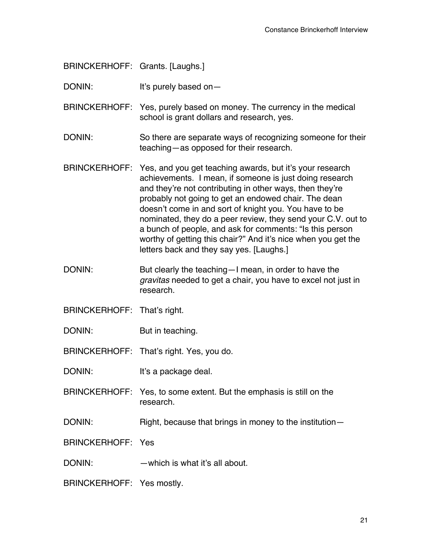BRINCKERHOFF: Grants. [Laughs.]

DONIN: It's purely based on-

BRINCKERHOFF: Yes, purely based on money. The currency in the medical school is grant dollars and research, yes.

- DONIN: So there are separate ways of recognizing someone for their teaching—as opposed for their research.
- BRINCKERHOFF: Yes, and you get teaching awards, but it's your research achievements. I mean, if someone is just doing research and they're not contributing in other ways, then they're probably not going to get an endowed chair. The dean doesn't come in and sort of knight you. You have to be nominated, they do a peer review, they send your C.V. out to a bunch of people, and ask for comments: "Is this person worthy of getting this chair?" And it's nice when you get the letters back and they say yes. [Laughs.]
- DONIN: But clearly the teaching—I mean, in order to have the *gravitas* needed to get a chair, you have to excel not just in research.
- BRINCKERHOFF: That's right.
- DONIN: But in teaching.

BRINCKERHOFF: That's right. Yes, you do.

DONIN: It's a package deal.

- BRINCKERHOFF: Yes, to some extent. But the emphasis is still on the research.
- DONIN: Right, because that brings in money to the institution-

BRINCKERHOFF: Yes

DONIN: —which is what it's all about.

BRINCKERHOFF: Yes mostly.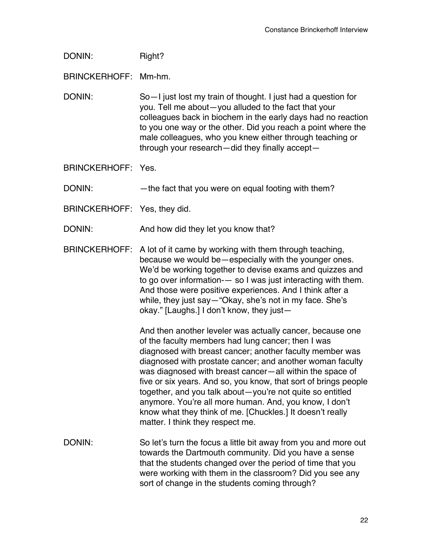DONIN: Right?

BRINCKERHOFF: Mm-hm.

DONIN: So—I just lost my train of thought. I just had a question for you. Tell me about—you alluded to the fact that your colleagues back in biochem in the early days had no reaction to you one way or the other. Did you reach a point where the male colleagues, who you knew either through teaching or through your research—did they finally accept—

BRINCKERHOFF: Yes.

DONIN: — — the fact that you were on equal footing with them?

BRINCKERHOFF: Yes, they did.

DONIN: And how did they let you know that?

BRINCKERHOFF: A lot of it came by working with them through teaching, because we would be—especially with the younger ones. We'd be working together to devise exams and quizzes and to go over information-— so I was just interacting with them. And those were positive experiences. And I think after a while, they just say—"Okay, she's not in my face. She's okay." [Laughs.] I don't know, they just—

> And then another leveler was actually cancer, because one of the faculty members had lung cancer; then I was diagnosed with breast cancer; another faculty member was diagnosed with prostate cancer; and another woman faculty was diagnosed with breast cancer—all within the space of five or six years. And so, you know, that sort of brings people together, and you talk about—you're not quite so entitled anymore. You're all more human. And, you know, I don't know what they think of me. [Chuckles.] It doesn't really matter. I think they respect me.

DONIN: So let's turn the focus a little bit away from you and more out towards the Dartmouth community. Did you have a sense that the students changed over the period of time that you were working with them in the classroom? Did you see any sort of change in the students coming through?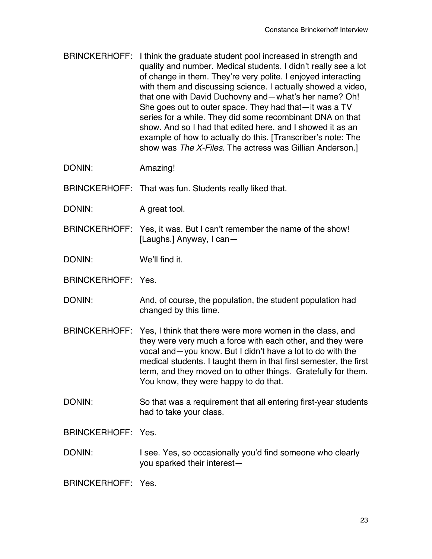- BRINCKERHOFF: I think the graduate student pool increased in strength and quality and number. Medical students. I didn't really see a lot of change in them. They're very polite. I enjoyed interacting with them and discussing science. I actually showed a video, that one with David Duchovny and—what's her name? Oh! She goes out to outer space. They had that—it was a TV series for a while. They did some recombinant DNA on that show. And so I had that edited here, and I showed it as an example of how to actually do this. [Transcriber's note: The show was *The X-Files*. The actress was Gillian Anderson.]
- DONIN: Amazing!
- BRINCKERHOFF: That was fun. Students really liked that.
- DONIN: A great tool.
- BRINCKERHOFF: Yes, it was. But I can't remember the name of the show! [Laughs.] Anyway, I can—

DONIN: We'll find it.

- BRINCKERHOFF: Yes.
- DONIN: And, of course, the population, the student population had changed by this time.
- BRINCKERHOFF: Yes, I think that there were more women in the class, and they were very much a force with each other, and they were vocal and—you know. But I didn't have a lot to do with the medical students. I taught them in that first semester, the first term, and they moved on to other things. Gratefully for them. You know, they were happy to do that.
- DONIN: So that was a requirement that all entering first-year students had to take your class.

BRINCKERHOFF: Yes.

DONIN: I see. Yes, so occasionally you'd find someone who clearly you sparked their interest—

BRINCKERHOFF: Yes.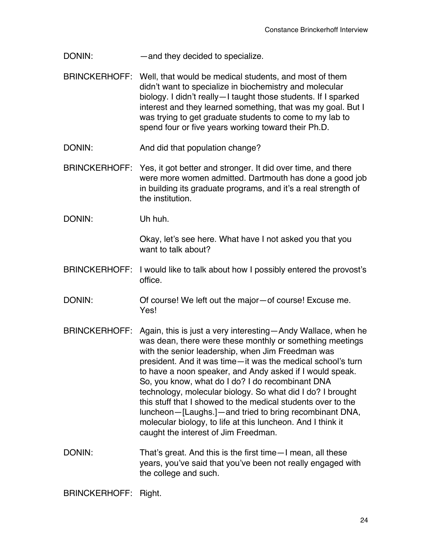DONIN: — — — and they decided to specialize.

- BRINCKERHOFF: Well, that would be medical students, and most of them didn't want to specialize in biochemistry and molecular biology. I didn't really—I taught those students. If I sparked interest and they learned something, that was my goal. But I was trying to get graduate students to come to my lab to spend four or five years working toward their Ph.D.
- DONIN: And did that population change?
- BRINCKERHOFF: Yes, it got better and stronger. It did over time, and there were more women admitted. Dartmouth has done a good job in building its graduate programs, and it's a real strength of the institution.
- DONIN: Uh huh.

Okay, let's see here. What have I not asked you that you want to talk about?

- BRINCKERHOFF: I would like to talk about how I possibly entered the provost's office.
- DONIN: Of course! We left out the major—of course! Excuse me. Yes!
- BRINCKERHOFF: Again, this is just a very interesting—Andy Wallace, when he was dean, there were these monthly or something meetings with the senior leadership, when Jim Freedman was president. And it was time—it was the medical school's turn to have a noon speaker, and Andy asked if I would speak. So, you know, what do I do? I do recombinant DNA technology, molecular biology. So what did I do? I brought this stuff that I showed to the medical students over to the luncheon—[Laughs.]—and tried to bring recombinant DNA, molecular biology, to life at this luncheon. And I think it caught the interest of Jim Freedman.
- DONIN: That's great. And this is the first time—I mean, all these years, you've said that you've been not really engaged with the college and such.

BRINCKERHOFF: Right.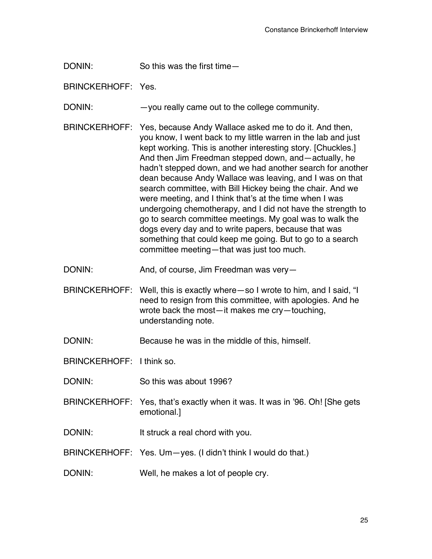DONIN: So this was the first time—

BRINCKERHOFF: Yes.

DONIN: —you really came out to the college community.

- BRINCKERHOFF: Yes, because Andy Wallace asked me to do it. And then, you know, I went back to my little warren in the lab and just kept working. This is another interesting story. [Chuckles.] And then Jim Freedman stepped down, and—actually, he hadn't stepped down, and we had another search for another dean because Andy Wallace was leaving, and I was on that search committee, with Bill Hickey being the chair. And we were meeting, and I think that's at the time when I was undergoing chemotherapy, and I did not have the strength to go to search committee meetings. My goal was to walk the dogs every day and to write papers, because that was something that could keep me going. But to go to a search committee meeting—that was just too much.
- DONIN: And, of course, Jim Freedman was very—
- BRINCKERHOFF: Well, this is exactly where—so I wrote to him, and I said, "I need to resign from this committee, with apologies. And he wrote back the most—it makes me cry—touching, understanding note.

DONIN: Because he was in the middle of this, himself.

BRINCKERHOFF: I think so.

- DONIN: So this was about 1996?
- BRINCKERHOFF: Yes, that's exactly when it was. It was in '96. Oh! [She gets emotional.]
- DONIN: It struck a real chord with you.
- BRINCKERHOFF: Yes. Um—yes. (I didn't think I would do that.)

DONIN: Well, he makes a lot of people cry.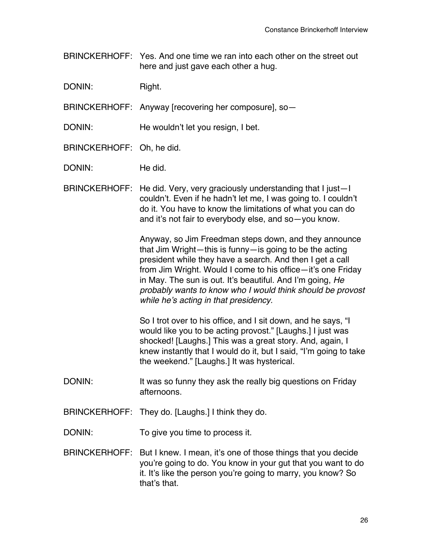BRINCKERHOFF: Yes. And one time we ran into each other on the street out here and just gave each other a hug.

DONIN: Right.

BRINCKERHOFF: Anyway [recovering her composure], so—

DONIN: He wouldn't let you resign, I bet.

BRINCKERHOFF: Oh, he did.

DONIN: He did.

BRINCKERHOFF: He did. Very, very graciously understanding that I just—I couldn't. Even if he hadn't let me, I was going to. I couldn't do it. You have to know the limitations of what you can do and it's not fair to everybody else, and so—you know.

> Anyway, so Jim Freedman steps down, and they announce that Jim Wright—this is funny—is going to be the acting president while they have a search. And then I get a call from Jim Wright. Would I come to his office—it's one Friday in May. The sun is out. It's beautiful. And I'm going, *He probably wants to know who I would think should be provost while he*'*s acting in that presidency.*

> So I trot over to his office, and I sit down, and he says, "I would like you to be acting provost." [Laughs.] I just was shocked! [Laughs.] This was a great story. And, again, I knew instantly that I would do it, but I said, "I'm going to take the weekend." [Laughs.] It was hysterical.

- DONIN: It was so funny they ask the really big questions on Friday afternoons.
- BRINCKERHOFF: They do. [Laughs.] I think they do.

DONIN: To give you time to process it.

BRINCKERHOFF: But I knew. I mean, it's one of those things that you decide you're going to do. You know in your gut that you want to do it. It's like the person you're going to marry, you know? So that's that.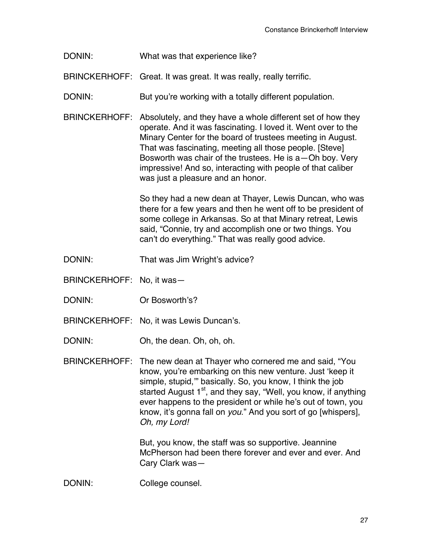DONIN: What was that experience like?

BRINCKERHOFF: Great. It was great. It was really, really terrific.

- DONIN: But you're working with a totally different population.
- BRINCKERHOFF: Absolutely, and they have a whole different set of how they operate. And it was fascinating. I loved it. Went over to the Minary Center for the board of trustees meeting in August. That was fascinating, meeting all those people. [Steve] Bosworth was chair of the trustees. He is a—Oh boy. Very impressive! And so, interacting with people of that caliber was just a pleasure and an honor.

So they had a new dean at Thayer, Lewis Duncan, who was there for a few years and then he went off to be president of some college in Arkansas. So at that Minary retreat, Lewis said, "Connie, try and accomplish one or two things. You can't do everything." That was really good advice.

- DONIN: That was Jim Wright's advice?
- BRINCKERHOFF: No, it was—
- DONIN: Or Bosworth's?
- BRINCKERHOFF: No, it was Lewis Duncan's.
- DONIN: Oh, the dean. Oh, oh, oh.
- BRINCKERHOFF: The new dean at Thayer who cornered me and said, "You know, you're embarking on this new venture. Just ʻkeep it simple, stupid,'" basically. So, you know, I think the job started August 1<sup>st</sup>, and they say, "Well, you know, if anything ever happens to the president or while he's out of town, you know, it's gonna fall on *you*." And you sort of go [whispers], *Oh, my Lord!*

But, you know, the staff was so supportive. Jeannine McPherson had been there forever and ever and ever. And Cary Clark was—

DONIN: College counsel.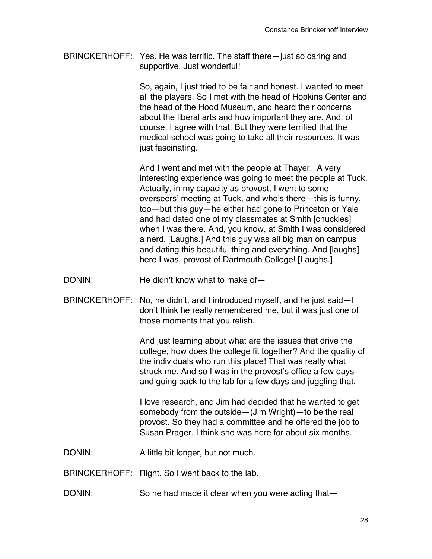BRINCKERHOFF: Yes. He was terrific. The staff there—just so caring and supportive. Just wonderful!

> So, again, I just tried to be fair and honest. I wanted to meet all the players. So I met with the head of Hopkins Center and the head of the Hood Museum, and heard their concerns about the liberal arts and how important they are. And, of course, I agree with that. But they were terrified that the medical school was going to take all their resources. It was just fascinating.

> And I went and met with the people at Thayer. A very interesting experience was going to meet the people at Tuck. Actually, in my capacity as provost, I went to some overseers' meeting at Tuck, and who's there—this is funny, too—but this guy—he either had gone to Princeton or Yale and had dated one of my classmates at Smith [chuckles] when I was there. And, you know, at Smith I was considered a nerd. [Laughs.] And this guy was all big man on campus and dating this beautiful thing and everything. And [laughs] here I was, provost of Dartmouth College! [Laughs.]

- DONIN: He didn't know what to make of-
- BRINCKERHOFF: No, he didn't, and I introduced myself, and he just said—I don't think he really remembered me, but it was just one of those moments that you relish.

And just learning about what are the issues that drive the college, how does the college fit together? And the quality of the individuals who run this place! That was really what struck me. And so I was in the provost's office a few days and going back to the lab for a few days and juggling that.

I love research, and Jim had decided that he wanted to get somebody from the outside—(Jim Wright)—to be the real provost. So they had a committee and he offered the job to Susan Prager. I think she was here for about six months.

DONIN: A little bit longer, but not much.

BRINCKERHOFF: Right. So I went back to the lab.

DONIN: So he had made it clear when you were acting that-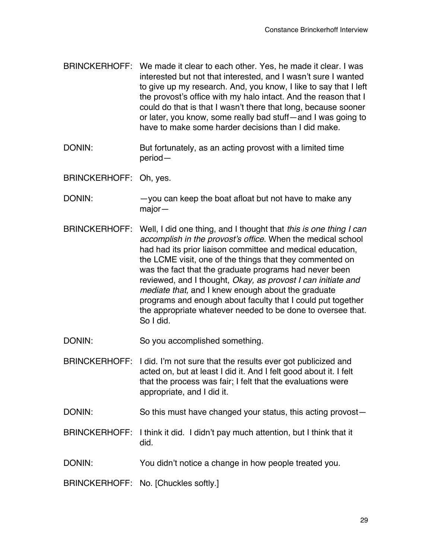- BRINCKERHOFF: We made it clear to each other. Yes, he made it clear. I was interested but not that interested, and I wasn't sure I wanted to give up my research. And, you know, I like to say that I left the provost's office with my halo intact. And the reason that I could do that is that I wasn't there that long, because sooner or later, you know, some really bad stuff—and I was going to have to make some harder decisions than I did make.
- DONIN: But fortunately, as an acting provost with a limited time period—
- BRINCKERHOFF: Oh, yes.
- DONIN: - you can keep the boat afloat but not have to make any major—
- BRINCKERHOFF: Well, I did one thing, and I thought that *this is one thing I can accomplish in the provost*'*s office*. When the medical school had had its prior liaison committee and medical education, the LCME visit, one of the things that they commented on was the fact that the graduate programs had never been reviewed, and I thought, *Okay, as provost I can initiate and mediate that,* and I knew enough about the graduate programs and enough about faculty that I could put together the appropriate whatever needed to be done to oversee that. So I did.

DONIN: So you accomplished something.

- BRINCKERHOFF: I did. I'm not sure that the results ever got publicized and acted on, but at least I did it. And I felt good about it. I felt that the process was fair; I felt that the evaluations were appropriate, and I did it.
- DONIN: So this must have changed your status, this acting provost-
- BRINCKERHOFF: I think it did. I didn't pay much attention, but I think that it did.
- DONIN: You didn't notice a change in how people treated you.

BRINCKERHOFF: No. [Chuckles softly.]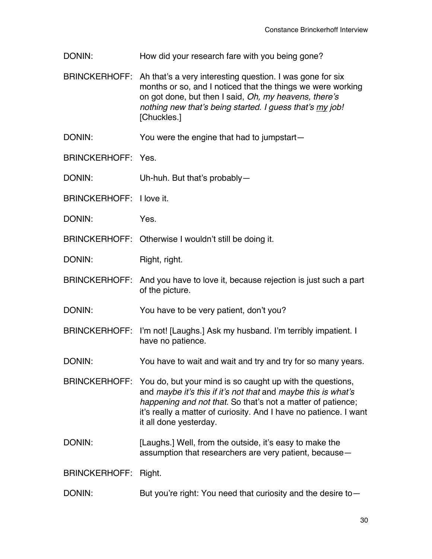- DONIN: How did your research fare with you being gone?
- BRINCKERHOFF: Ah that's a very interesting question. I was gone for six months or so, and I noticed that the things we were working on got done, but then I said, *Oh, my heavens, there*'*s nothing new that*'*s being started. I guess that*'*s my job!* [Chuckles.]
- DONIN: You were the engine that had to jumpstart—
- BRINCKERHOFF: Yes.
- DONIN: Uh-huh. But that's probably—
- BRINCKERHOFF: I love it.
- DONIN: Yes.
- BRINCKERHOFF: Otherwise I wouldn't still be doing it.
- DONIN: Right, right.
- BRINCKERHOFF: And you have to love it, because rejection is just such a part of the picture.
- DONIN: You have to be very patient, don't you?
- BRINCKERHOFF: I'm not! [Laughs.] Ask my husband. I'm terribly impatient. I have no patience.
- DONIN: You have to wait and wait and try and try for so many years.
- BRINCKERHOFF: You do, but your mind is so caught up with the questions, and *maybe it*'*s this if it*'*s not that* and *maybe this is what*'*s happening and not that.* So that's not a matter of patience; it's really a matter of curiosity. And I have no patience. I want it all done yesterday.
- DONIN: [Laughs.] Well, from the outside, it's easy to make the assumption that researchers are very patient, because—

BRINCKERHOFF: Right.

DONIN: But you're right: You need that curiosity and the desire to-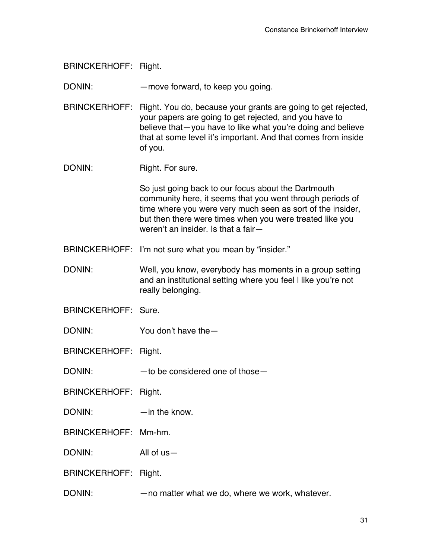BRINCKERHOFF: Right.

DONIN: — — — — move forward, to keep you going.

BRINCKERHOFF: Right. You do, because your grants are going to get rejected, your papers are going to get rejected, and you have to believe that—you have to like what you're doing and believe that at some level it's important. And that comes from inside of you.

DONIN: Right. For sure.

So just going back to our focus about the Dartmouth community here, it seems that you went through periods of time where you were very much seen as sort of the insider, but then there were times when you were treated like you weren't an insider. Is that a fair—

BRINCKERHOFF: I'm not sure what you mean by "insider."

DONIN: Well, you know, everybody has moments in a group setting and an institutional setting where you feel l like you're not really belonging.

BRINCKERHOFF: Sure.

DONIN: You don't have the —

BRINCKERHOFF: Right.

DONIN: — —to be considered one of those

BRINCKERHOFF: Right.

DONIN: — —in the know.

BRINCKERHOFF: Mm-hm.

DONIN: All of us—

BRINCKERHOFF: Right.

DONIN: —no matter what we do, where we work, whatever.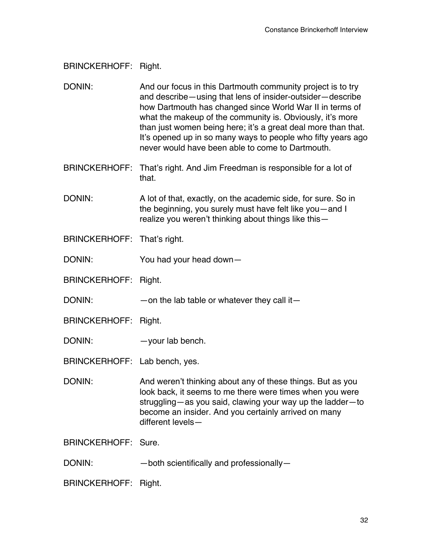BRINCKERHOFF: Right.

DONIN: And our focus in this Dartmouth community project is to try and describe—using that lens of insider-outsider—describe how Dartmouth has changed since World War II in terms of what the makeup of the community is. Obviously, it's more than just women being here; it's a great deal more than that. It's opened up in so many ways to people who fifty years ago never would have been able to come to Dartmouth.

BRINCKERHOFF: That's right. And Jim Freedman is responsible for a lot of that.

DONIN: A lot of that, exactly, on the academic side, for sure. So in the beginning, you surely must have felt like you—and I realize you weren't thinking about things like this—

- BRINCKERHOFF: That's right.
- DONIN: You had your head down—

BRINCKERHOFF: Right.

 $DONIN:$  —on the lab table or whatever they call it—

BRINCKERHOFF: Right.

DONIN: — your lab bench.

BRINCKERHOFF: Lab bench, yes.

DONIN: And weren't thinking about any of these things. But as you look back, it seems to me there were times when you were struggling—as you said, clawing your way up the ladder—to become an insider. And you certainly arrived on many different levels—

BRINCKERHOFF: Sure.

DONIN: — both scientifically and professionally-

BRINCKERHOFF: Right.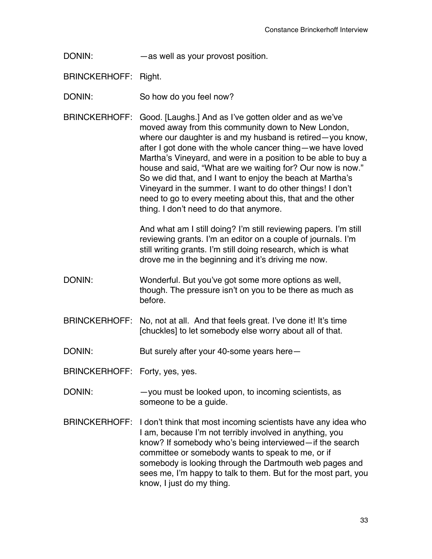DONIN: — as well as your provost position.

BRINCKERHOFF: Right.

DONIN: So how do you feel now?

BRINCKERHOFF: Good. [Laughs.] And as I've gotten older and as we've moved away from this community down to New London, where our daughter is and my husband is retired—you know, after I got done with the whole cancer thing—we have loved Martha's Vineyard, and were in a position to be able to buy a house and said, "What are we waiting for? Our now is now." So we did that, and I want to enjoy the beach at Martha's Vineyard in the summer. I want to do other things! I don't need to go to every meeting about this, that and the other thing. I don't need to do that anymore.

> And what am I still doing? I'm still reviewing papers. I'm still reviewing grants. I'm an editor on a couple of journals. I'm still writing grants. I'm still doing research, which is what drove me in the beginning and it's driving me now.

- DONIN: Wonderful. But you've got some more options as well, though. The pressure isn't on you to be there as much as before.
- BRINCKERHOFF: No, not at all. And that feels great. I've done it! It's time [chuckles] to let somebody else worry about all of that.

DONIN: But surely after your 40-some years here—

BRINCKERHOFF: Forty, yes, yes.

- DONIN: - you must be looked upon, to incoming scientists, as someone to be a guide.
- BRINCKERHOFF: I don't think that most incoming scientists have any idea who I am, because I'm not terribly involved in anything, you know? If somebody who's being interviewed—if the search committee or somebody wants to speak to me, or if somebody is looking through the Dartmouth web pages and sees me, I'm happy to talk to them. But for the most part, you know, I just do my thing.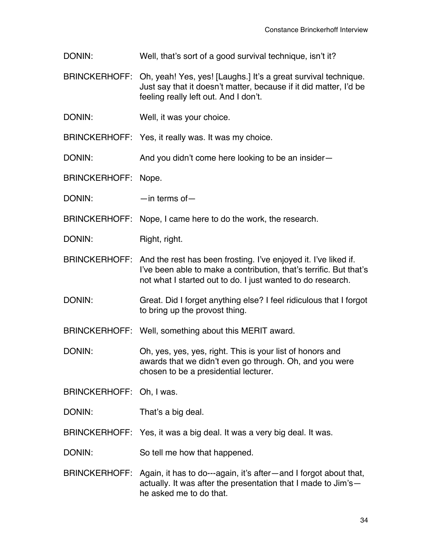- DONIN: Well, that's sort of a good survival technique, isn't it?
- BRINCKERHOFF: Oh, yeah! Yes, yes! [Laughs.] It's a great survival technique. Just say that it doesn't matter, because if it did matter, I'd be feeling really left out. And I don't.
- DONIN: Well, it was your choice.

BRINCKERHOFF: Yes, it really was. It was my choice.

DONIN: And you didn't come here looking to be an insider—

BRINCKERHOFF: Nope.

DONIN: — —in terms of

BRINCKERHOFF: Nope, I came here to do the work, the research.

DONIN: Right, right.

- BRINCKERHOFF: And the rest has been frosting. I've enjoyed it. I've liked if. I've been able to make a contribution, that's terrific. But that's not what I started out to do. I just wanted to do research.
- DONIN: Great. Did I forget anything else? I feel ridiculous that I forgot to bring up the provost thing.

BRINCKERHOFF: Well, something about this MERIT award.

DONIN: Oh, yes, yes, yes, right. This is your list of honors and awards that we didn't even go through. Oh, and you were chosen to be a presidential lecturer.

BRINCKERHOFF: Oh, I was.

DONIN: That's a big deal.

BRINCKERHOFF: Yes, it was a big deal. It was a very big deal. It was.

DONIN: So tell me how that happened.

BRINCKERHOFF: Again, it has to do---again, it's after—and I forgot about that, actually. It was after the presentation that I made to Jim's he asked me to do that.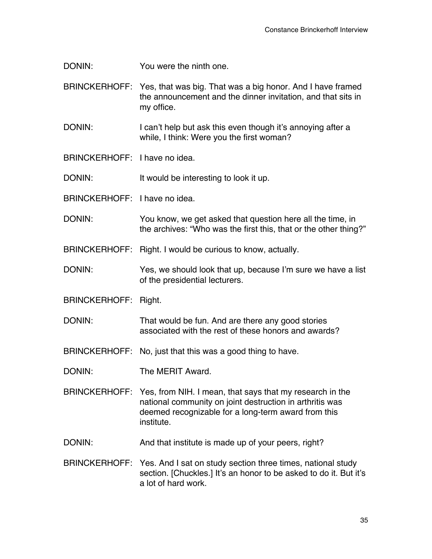DONIN: You were the ninth one.

BRINCKERHOFF: Yes, that was big. That was a big honor. And I have framed the announcement and the dinner invitation, and that sits in my office.

DONIN: I can't help but ask this even though it's annoying after a while, I think: Were you the first woman?

BRINCKERHOFF: I have no idea.

DONIN: It would be interesting to look it up.

BRINCKERHOFF: I have no idea.

DONIN: You know, we get asked that question here all the time, in the archives: "Who was the first this, that or the other thing?"

BRINCKERHOFF: Right. I would be curious to know, actually.

DONIN: Yes, we should look that up, because I'm sure we have a list of the presidential lecturers.

BRINCKERHOFF: Right.

DONIN: That would be fun. And are there any good stories associated with the rest of these honors and awards?

BRINCKERHOFF: No, just that this was a good thing to have.

DONIN: The MERIT Award.

- BRINCKERHOFF: Yes, from NIH. I mean, that says that my research in the national community on joint destruction in arthritis was deemed recognizable for a long-term award from this institute.
- DONIN: And that institute is made up of your peers, right?
- BRINCKERHOFF: Yes. And I sat on study section three times, national study section. [Chuckles.] It's an honor to be asked to do it. But it's a lot of hard work.